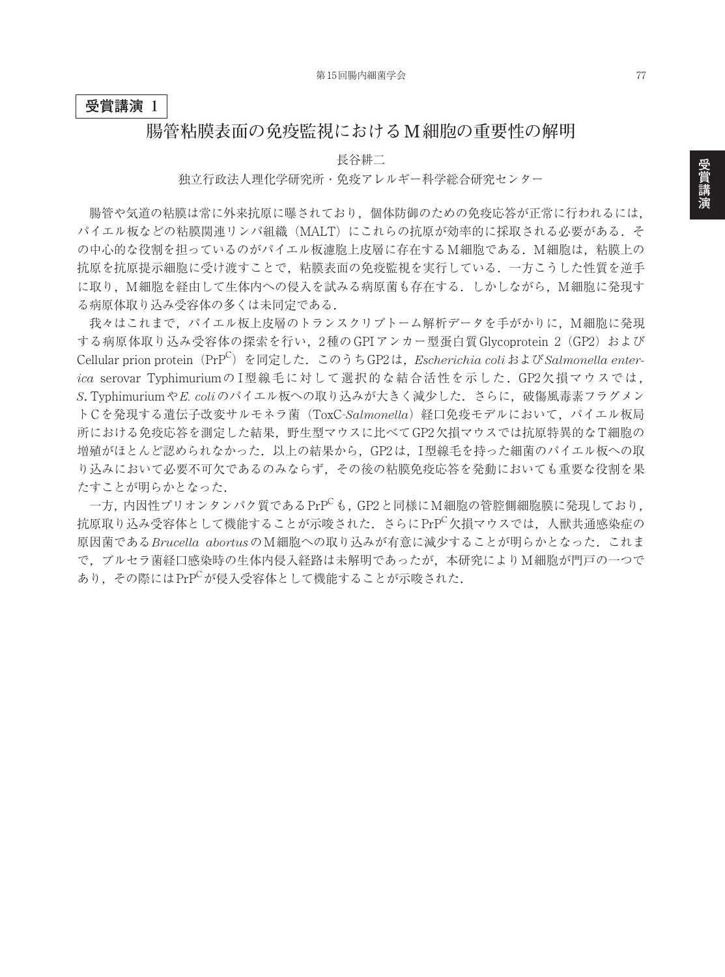## **受賞講演 1**

## **腸管粘膜表面の免疫監視における M細胞の重要性の解明**

長谷耕二

独立行政法人理化学研究所・免疫アレルギー科学総合研究センター

腸管や気道の粘膜は常に外来抗原に曝されており,個体防御のための免疫応答が正常に行われるには, パイエル板などの粘膜関連リンパ組織(MALT)にこれらの抗原が効率的に採取される必要がある.そ の中心的な役割を担っているのがパイエル板濾胞上皮層に存在するM細胞である. M細胞は、粘膜上の 抗原を抗原提示細胞に受け渡すことで,粘膜表面の免疫監視を実行している.一方こうした性質を逆手 に取り, M細胞を経由して生体内への侵入を試みる病原菌も存在する. しかしながら, M細胞に発現す る病原体取り込み受容体の多くは未同定である.

我々はこれまで,パイエル板上皮層のトランスクリプトーム解析データを手がかりに,M細胞に発現 する病原体取り込み受容体の探索を行い、2種の GPI アンカー型蛋白質 Glycoprotein 2 (GP2) および Cellular prion protein(PrPC )を同定した.このうちGP2は,*Escherichia coli*および*Salmonella enterica* serovar Typhimuriumの I型線毛に対して選択的な結合活性を示した.GP2欠損マウスでは, *S*. Typhimuriumや*E. coli*のパイエル板への取り込みが大きく減少した.さらに,破傷風毒素フラグメン トCを発現する遺伝子改変サルモネラ菌(ToxC-Salmonella)経口免疫モデルにおいて、パイエル板局 所における免疫応答を測定した結果,野生型マウスに比べてGP2欠損マウスでは抗原特異的なT細胞の 増殖がほとんど認められなかった.以上の結果から,GP2は,I型線毛を持った細菌のパイエル板への取 り込みにおいて必要不可欠であるのみならず,その後の粘膜免疫応答を発動においても重要な役割を果 たすことが明らかとなった.

一方,内因性プリオンタンパク質であるPrPCも,GP2と同様にM細胞の管腔側細胞膜に発現しており, 抗原取り込み受容体として機能することが示唆された. さらに PrPC欠損マウスでは、人獣共通感染症の 原因菌である*Brucella abortus*のM細胞への取り込みが有意に減少することが明らかとなった.これま で,ブルセラ菌経口感染時の生体内侵入経路は未解明であったが,本研究によりM細胞が門戸の一つで あり、その際にはPrPCが侵入受容体として機能することが示唆された.

77